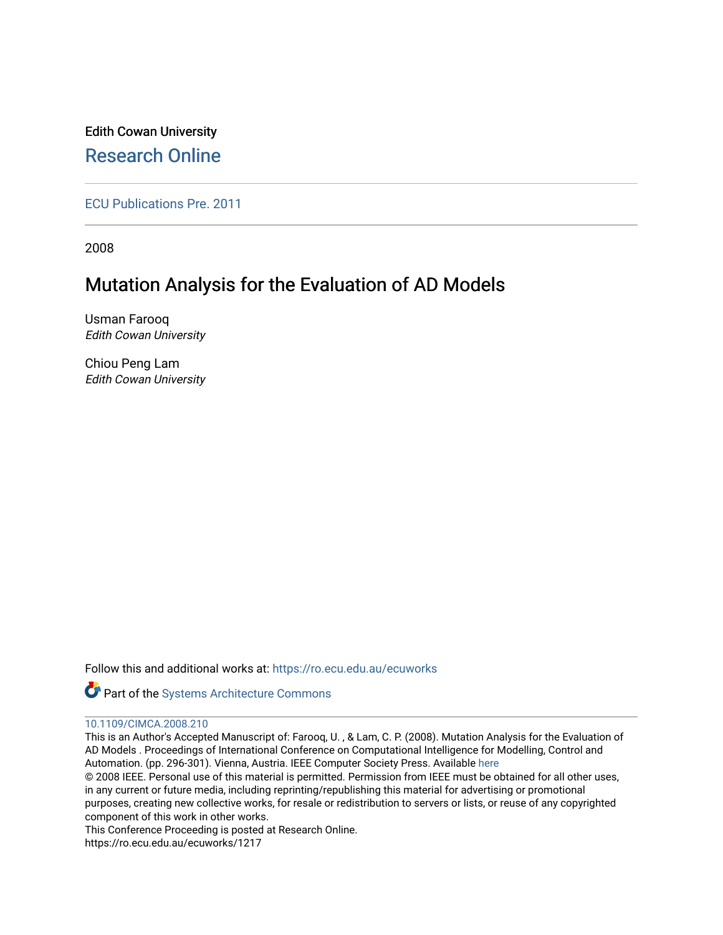Edith Cowan University [Research Online](https://ro.ecu.edu.au/) 

[ECU Publications Pre. 2011](https://ro.ecu.edu.au/ecuworks)

2008

# Mutation Analysis for the Evaluation of AD Models

Usman Farooq Edith Cowan University

Chiou Peng Lam Edith Cowan University

Follow this and additional works at: [https://ro.ecu.edu.au/ecuworks](https://ro.ecu.edu.au/ecuworks?utm_source=ro.ecu.edu.au%2Fecuworks%2F1217&utm_medium=PDF&utm_campaign=PDFCoverPages) 

Part of the [Systems Architecture Commons](http://network.bepress.com/hgg/discipline/144?utm_source=ro.ecu.edu.au%2Fecuworks%2F1217&utm_medium=PDF&utm_campaign=PDFCoverPages) 

## [10.1109/CIMCA.2008.210](http://dx.doi.org/10.1109/CIMCA.2008.210)

This is an Author's Accepted Manuscript of: Farooq, U. , & Lam, C. P. (2008). Mutation Analysis for the Evaluation of AD Models . Proceedings of International Conference on Computational Intelligence for Modelling, Control and Automation. (pp. 296-301). Vienna, Austria. IEEE Computer Society Press. Available [here](http://dx.doi.org/10.1109/CIMCA.2008.210)  © 2008 IEEE. Personal use of this material is permitted. Permission from IEEE must be obtained for all other uses, in any current or future media, including reprinting/republishing this material for advertising or promotional

purposes, creating new collective works, for resale or redistribution to servers or lists, or reuse of any copyrighted component of this work in other works.

This Conference Proceeding is posted at Research Online.

https://ro.ecu.edu.au/ecuworks/1217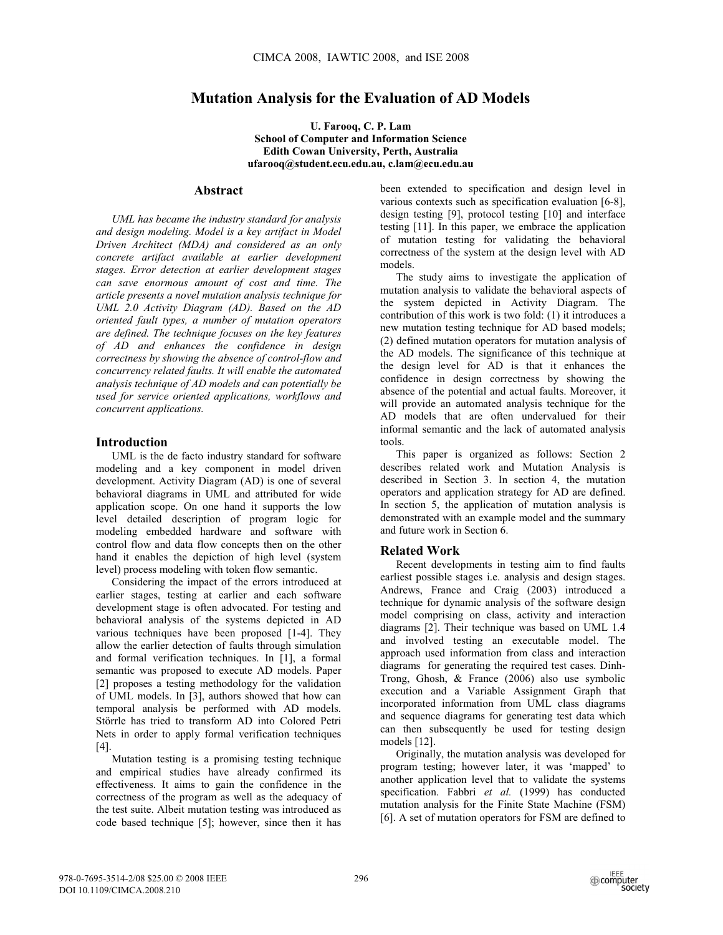## **Mutation Analysis for the Evaluation of AD Models**

**U. Farooq, C. P. Lam School of Computer and Information Science Edith Cowan University, Perth, Australia ufarooq@student.ecu.edu.au, c.lam@ecu.edu.au** 

#### **Abstract**

*UML has became the industry standard for analysis and design modeling. Model is a key artifact in Model Driven Architect (MDA) and considered as an only concrete artifact available at earlier development stages. Error detection at earlier development stages can save enormous amount of cost and time. The article presents a novel mutation analysis technique for UML 2.0 Activity Diagram (AD). Based on the AD oriented fault types, a number of mutation operators are defined. The technique focuses on the key features of AD and enhances the confidence in design correctness by showing the absence of control-flow and concurrency related faults. It will enable the automated analysis technique of AD models and can potentially be used for service oriented applications, workflows and concurrent applications.* 

#### **Introduction**

UML is the de facto industry standard for software modeling and a key component in model driven development. Activity Diagram (AD) is one of several behavioral diagrams in UML and attributed for wide application scope. On one hand it supports the low level detailed description of program logic for modeling embedded hardware and software with control flow and data flow concepts then on the other hand it enables the depiction of high level (system level) process modeling with token flow semantic.

Considering the impact of the errors introduced at earlier stages, testing at earlier and each software development stage is often advocated. For testing and behavioral analysis of the systems depicted in AD various techniques have been proposed [1-4]. They allow the earlier detection of faults through simulation and formal verification techniques. In [1], a formal semantic was proposed to execute AD models. Paper [2] proposes a testing methodology for the validation of UML models. In [3], authors showed that how can temporal analysis be performed with AD models. Störrle has tried to transform AD into Colored Petri Nets in order to apply formal verification techniques [4].

Mutation testing is a promising testing technique and empirical studies have already confirmed its effectiveness. It aims to gain the confidence in the correctness of the program as well as the adequacy of the test suite. Albeit mutation testing was introduced as code based technique [5]; however, since then it has

been extended to specification and design level in various contexts such as specification evaluation [6-8], design testing [9], protocol testing [10] and interface testing [11]. In this paper, we embrace the application of mutation testing for validating the behavioral correctness of the system at the design level with AD models.

The study aims to investigate the application of mutation analysis to validate the behavioral aspects of the system depicted in Activity Diagram. The contribution of this work is two fold: (1) it introduces a new mutation testing technique for AD based models; (2) defined mutation operators for mutation analysis of the AD models. The significance of this technique at the design level for AD is that it enhances the confidence in design correctness by showing the absence of the potential and actual faults. Moreover, it will provide an automated analysis technique for the AD models that are often undervalued for their informal semantic and the lack of automated analysis tools.

This paper is organized as follows: Section 2 describes related work and Mutation Analysis is described in Section 3. In section 4, the mutation operators and application strategy for AD are defined. In section 5, the application of mutation analysis is demonstrated with an example model and the summary and future work in Section 6.

### **Related Work**

Recent developments in testing aim to find faults earliest possible stages i.e. analysis and design stages. Andrews, France and Craig (2003) introduced a technique for dynamic analysis of the software design model comprising on class, activity and interaction diagrams [2]. Their technique was based on UML 1.4 and involved testing an executable model. The approach used information from class and interaction diagrams for generating the required test cases. Dinh-Trong, Ghosh, & France (2006) also use symbolic execution and a Variable Assignment Graph that incorporated information from UML class diagrams and sequence diagrams for generating test data which can then subsequently be used for testing design models [12].

Originally, the mutation analysis was developed for program testing; however later, it was 'mapped' to another application level that to validate the systems specification. Fabbri *et al.* (1999) has conducted mutation analysis for the Finite State Machine (FSM) [6]. A set of mutation operators for FSM are defined to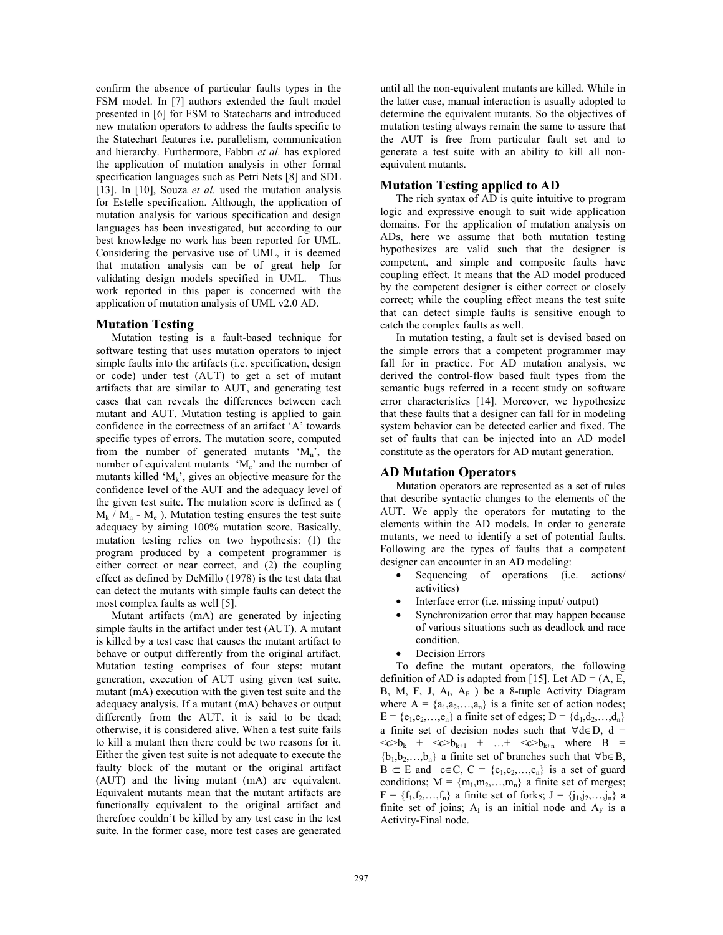confirm the absence of particular faults types in the FSM model. In [7] authors extended the fault model presented in [6] for FSM to Statecharts and introduced new mutation operators to address the faults specific to the Statechart features i.e. parallelism, communication and hierarchy. Furthermore, Fabbri *et al.* has explored the application of mutation analysis in other formal specification languages such as Petri Nets [8] and SDL [13]. In [10], Souza *et al.* used the mutation analysis for Estelle specification. Although, the application of mutation analysis for various specification and design languages has been investigated, but according to our best knowledge no work has been reported for UML. Considering the pervasive use of UML, it is deemed that mutation analysis can be of great help for validating design models specified in UML. Thus work reported in this paper is concerned with the application of mutation analysis of UML v2.0 AD.

### **Mutation Testing**

Mutation testing is a fault-based technique for software testing that uses mutation operators to inject simple faults into the artifacts (i.e. specification, design or code) under test (AUT) to get a set of mutant artifacts that are similar to AUT, and generating test cases that can reveals the differences between each mutant and AUT. Mutation testing is applied to gain confidence in the correctness of an artifact 'A' towards specific types of errors. The mutation score, computed from the number of generated mutants  $^{\circ}M_{n}$ , the number of equivalent mutants  $M_e$ ' and the number of mutants killed ' $M_k$ ', gives an objective measure for the confidence level of the AUT and the adequacy level of the given test suite. The mutation score is defined as (  $M_k / M_n$  -  $M_e$ ). Mutation testing ensures the test suite adequacy by aiming 100% mutation score. Basically, mutation testing relies on two hypothesis: (1) the program produced by a competent programmer is either correct or near correct, and (2) the coupling effect as defined by DeMillo (1978) is the test data that can detect the mutants with simple faults can detect the most complex faults as well [5].

Mutant artifacts (mA) are generated by injecting simple faults in the artifact under test (AUT). A mutant is killed by a test case that causes the mutant artifact to behave or output differently from the original artifact. Mutation testing comprises of four steps: mutant generation, execution of AUT using given test suite, mutant (mA) execution with the given test suite and the adequacy analysis. If a mutant (mA) behaves or output differently from the AUT, it is said to be dead; otherwise, it is considered alive. When a test suite fails to kill a mutant then there could be two reasons for it. Either the given test suite is not adequate to execute the faulty block of the mutant or the original artifact (AUT) and the living mutant (mA) are equivalent. Equivalent mutants mean that the mutant artifacts are functionally equivalent to the original artifact and therefore couldn't be killed by any test case in the test suite. In the former case, more test cases are generated until all the non-equivalent mutants are killed. While in the latter case, manual interaction is usually adopted to determine the equivalent mutants. So the objectives of mutation testing always remain the same to assure that the AUT is free from particular fault set and to generate a test suite with an ability to kill all nonequivalent mutants.

## **Mutation Testing applied to AD**

The rich syntax of AD is quite intuitive to program logic and expressive enough to suit wide application domains. For the application of mutation analysis on ADs, here we assume that both mutation testing hypothesizes are valid such that the designer is competent, and simple and composite faults have coupling effect. It means that the AD model produced by the competent designer is either correct or closely correct; while the coupling effect means the test suite that can detect simple faults is sensitive enough to catch the complex faults as well.

In mutation testing, a fault set is devised based on the simple errors that a competent programmer may fall for in practice. For AD mutation analysis, we derived the control-flow based fault types from the semantic bugs referred in a recent study on software error characteristics [14]. Moreover, we hypothesize that these faults that a designer can fall for in modeling system behavior can be detected earlier and fixed. The set of faults that can be injected into an AD model constitute as the operators for AD mutant generation.

## **AD Mutation Operators**

Mutation operators are represented as a set of rules that describe syntactic changes to the elements of the AUT. We apply the operators for mutating to the elements within the AD models. In order to generate mutants, we need to identify a set of potential faults. Following are the types of faults that a competent designer can encounter in an AD modeling:

- Sequencing of operations (i.e. actions/ activities)
- Interface error (i.e. missing input/ output)
- Synchronization error that may happen because of various situations such as deadlock and race condition.
- Decision Errors

To define the mutant operators, the following definition of AD is adapted from [15]. Let  $AD = (A, E, E)$ B, M, F, J,  $A_I$ ,  $A_F$ ) be a 8-tuple Activity Diagram where  $A = \{a_1, a_2, \ldots, a_n\}$  is a finite set of action nodes;  $E = {e_1, e_2,..., e_n}$  a finite set of edges;  $D = {d_1, d_2,..., d_n}$ a finite set of decision nodes such that  $\forall d \in D$ , d =  $\langle c \rangle b_k$  +  $\langle c \rangle b_{k+1}$  + ... +  $\langle c \rangle b_{k+n}$  where B =  ${b_1, b_2,...,b_n}$  a finite set of branches such that  $\forall b \in B$ ,  $B \subset E$  and  $c \in C$ ,  $C = \{c_1, c_2, \ldots, c_n\}$  is a set of guard conditions;  $M = \{m_1, m_2, \ldots, m_n\}$  a finite set of merges;  $F = \{f_1, f_2,..., f_n\}$  a finite set of forks;  $J = \{j_1, j_2,..., j_n\}$  a finite set of joins;  $A_I$  is an initial node and  $A_F$  is a Activity-Final node.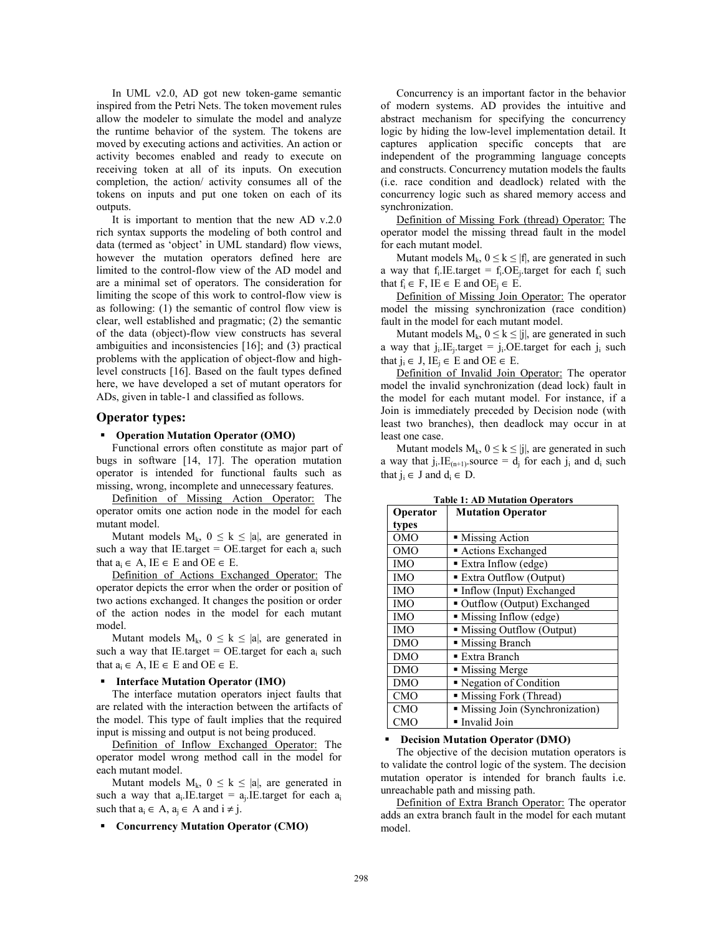In UML v2.0, AD got new token-game semantic inspired from the Petri Nets. The token movement rules allow the modeler to simulate the model and analyze the runtime behavior of the system. The tokens are moved by executing actions and activities. An action or activity becomes enabled and ready to execute on receiving token at all of its inputs. On execution completion, the action/ activity consumes all of the tokens on inputs and put one token on each of its outputs.

It is important to mention that the new AD v.2.0 rich syntax supports the modeling of both control and data (termed as 'object' in UML standard) flow views, however the mutation operators defined here are limited to the control-flow view of the AD model and are a minimal set of operators. The consideration for limiting the scope of this work to control-flow view is as following: (1) the semantic of control flow view is clear, well established and pragmatic; (2) the semantic of the data (object)-flow view constructs has several ambiguities and inconsistencies [16]; and (3) practical problems with the application of object-flow and highlevel constructs [16]. Based on the fault types defined here, we have developed a set of mutant operators for ADs, given in table-1 and classified as follows.

#### **Operator types:**

#### **Operation Mutation Operator (OMO)**

Functional errors often constitute as major part of bugs in software [14, 17]. The operation mutation operator is intended for functional faults such as missing, wrong, incomplete and unnecessary features.

Definition of Missing Action Operator: The operator omits one action node in the model for each mutant model.

Mutant models  $M_k$ ,  $0 \le k \le |a|$ , are generated in such a way that IE.target = OE.target for each  $a_i$  such that  $a_i \in A$ , IE  $\in$  E and OE  $\in$  E.

Definition of Actions Exchanged Operator: The operator depicts the error when the order or position of two actions exchanged. It changes the position or order of the action nodes in the model for each mutant model.

Mutant models  $M_k$ ,  $0 \le k \le |a|$ , are generated in such a way that IE.target =  $OE$ .target for each a<sub>i</sub> such that  $a_i \in A$ , IE  $\in$  E and OE  $\in$  E.

#### **Interface Mutation Operator (IMO)**

The interface mutation operators inject faults that are related with the interaction between the artifacts of the model. This type of fault implies that the required input is missing and output is not being produced.

Definition of Inflow Exchanged Operator: The operator model wrong method call in the model for each mutant model.

Mutant models  $M_k$ ,  $0 \le k \le |a|$ , are generated in such a way that  $a_i$ . IE.target =  $a_i$ . IE.target for each  $a_i$ such that  $a_i \in A$ ,  $a_i \in A$  and  $i \neq j$ .

#### **Concurrency Mutation Operator (CMO)**

Concurrency is an important factor in the behavior of modern systems. AD provides the intuitive and abstract mechanism for specifying the concurrency logic by hiding the low-level implementation detail. It captures application specific concepts that are independent of the programming language concepts and constructs. Concurrency mutation models the faults (i.e. race condition and deadlock) related with the concurrency logic such as shared memory access and synchronization.

Definition of Missing Fork (thread) Operator: The operator model the missing thread fault in the model for each mutant model.

Mutant models  $M_k$ ,  $0 \le k \le |f|$ , are generated in such a way that  $f_i$ . IE.target =  $f_i$ . OE<sub>i</sub>.target for each  $f_i$  such that  $f_i \in F$ ,  $IE \in E$  and  $OE_i \in E$ .

Definition of Missing Join Operator: The operator model the missing synchronization (race condition) fault in the model for each mutant model.

Mutant models  $M_k$ ,  $0 \le k \le |j|$ , are generated in such a way that  $j_i$ . IE<sub>i</sub>.target =  $j_i$ . OE.target for each  $j_i$  such that  $i_i \in J$ ,  $IE_i \in E$  and  $OE \in E$ .

Definition of Invalid Join Operator: The operator model the invalid synchronization (dead lock) fault in the model for each mutant model. For instance, if a Join is immediately preceded by Decision node (with least two branches), then deadlock may occur in at least one case.

Mutant models  $M_k$ ,  $0 \le k \le |j|$ , are generated in such a way that  $j_i$ . IE<sub>(n+1)</sub>. source =  $d_i$  for each  $j_i$  and  $d_i$  such that  $i_i \in J$  and  $d_i \in D$ .

| Operator   | <b>Mutation Operator</b>           |  |  |
|------------|------------------------------------|--|--|
| types      |                                    |  |  |
| <b>OMO</b> | • Missing Action                   |  |  |
| <b>OMO</b> | Actions Exchanged                  |  |  |
| <b>IMO</b> | $\blacksquare$ Extra Inflow (edge) |  |  |
| <b>IMO</b> | <b>Extra Outflow (Output)</b>      |  |  |
| <b>IMO</b> | Inflow (Input) Exchanged           |  |  |
| <b>IMO</b> | ■ Outflow (Output) Exchanged       |  |  |
| <b>IMO</b> | • Missing Inflow (edge)            |  |  |
| <b>IMO</b> | · Missing Outflow (Output)         |  |  |
| <b>DMO</b> | • Missing Branch                   |  |  |
| <b>DMO</b> | ■ Extra Branch                     |  |  |
| <b>DMO</b> | • Missing Merge                    |  |  |
| <b>DMO</b> | • Negation of Condition            |  |  |
| <b>CMO</b> | · Missing Fork (Thread)            |  |  |
| <b>CMO</b> | • Missing Join (Synchronization)   |  |  |
| <b>CMO</b> | · Invalid Join                     |  |  |

**Table 1: AD Mutation Operators** 

#### **Decision Mutation Operator (DMO)**

The objective of the decision mutation operators is to validate the control logic of the system. The decision mutation operator is intended for branch faults i.e. unreachable path and missing path.

Definition of Extra Branch Operator: The operator adds an extra branch fault in the model for each mutant model.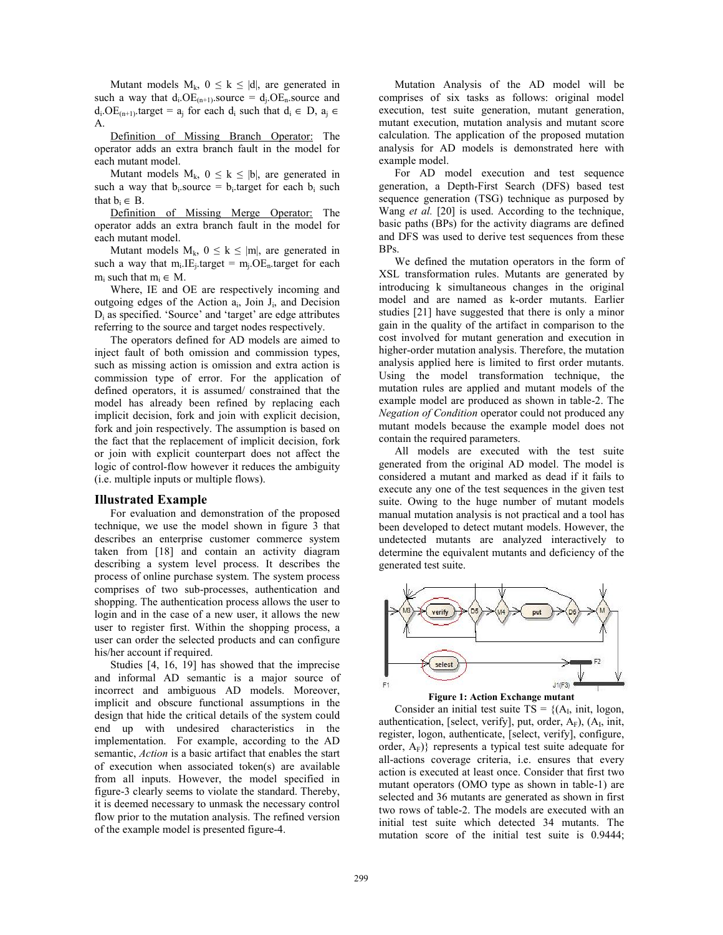Mutant models  $M_k$ ,  $0 \le k \le |d|$ , are generated in such a way that  $d_i$ . OE<sub>(n+1)</sub>. source =  $d_i$ . OE<sub>n</sub>. source and  $d_i$ . OE<sub>(n+1)</sub>.target =  $a_i$  for each  $d_i$  such that  $d_i \in D$ ,  $a_i \in D$ A.

Definition of Missing Branch Operator: The operator adds an extra branch fault in the model for each mutant model.

Mutant models  $M_k$ ,  $0 \le k \le |b|$ , are generated in such a way that  $b_i$ . source =  $b_i$ . target for each  $b_i$  such that  $b_i \in B$ .

Definition of Missing Merge Operator: The operator adds an extra branch fault in the model for each mutant model.

Mutant models  $M_k$ ,  $0 \le k \le |m|$ , are generated in such a way that  $m_i.E_i$  target =  $m_i.OE_n$  target for each  $m_i$  such that  $m_i \in M$ .

Where, IE and OE are respectively incoming and outgoing edges of the Action ai, Join Ji, and Decision Di as specified. 'Source' and 'target' are edge attributes referring to the source and target nodes respectively.

The operators defined for AD models are aimed to inject fault of both omission and commission types, such as missing action is omission and extra action is commission type of error. For the application of defined operators, it is assumed/ constrained that the model has already been refined by replacing each implicit decision, fork and join with explicit decision, fork and join respectively. The assumption is based on the fact that the replacement of implicit decision, fork or join with explicit counterpart does not affect the logic of control-flow however it reduces the ambiguity (i.e. multiple inputs or multiple flows).

#### **Illustrated Example**

For evaluation and demonstration of the proposed technique, we use the model shown in figure 3 that describes an enterprise customer commerce system taken from [18] and contain an activity diagram describing a system level process. It describes the process of online purchase system. The system process comprises of two sub-processes, authentication and shopping. The authentication process allows the user to login and in the case of a new user, it allows the new user to register first. Within the shopping process, a user can order the selected products and can configure his/her account if required.

Studies [4, 16, 19] has showed that the imprecise and informal AD semantic is a major source of incorrect and ambiguous AD models. Moreover, implicit and obscure functional assumptions in the design that hide the critical details of the system could end up with undesired characteristics in the implementation. For example, according to the AD semantic, *Action* is a basic artifact that enables the start of execution when associated token(s) are available from all inputs. However, the model specified in figure-3 clearly seems to violate the standard. Thereby, it is deemed necessary to unmask the necessary control flow prior to the mutation analysis. The refined version of the example model is presented figure-4.

Mutation Analysis of the AD model will be comprises of six tasks as follows: original model execution, test suite generation, mutant generation, mutant execution, mutation analysis and mutant score calculation. The application of the proposed mutation analysis for AD models is demonstrated here with example model.

For AD model execution and test sequence generation, a Depth-First Search (DFS) based test sequence generation (TSG) technique as purposed by Wang *et al.* [20] is used. According to the technique, basic paths (BPs) for the activity diagrams are defined and DFS was used to derive test sequences from these BPs.

We defined the mutation operators in the form of XSL transformation rules. Mutants are generated by introducing k simultaneous changes in the original model and are named as k-order mutants. Earlier studies [21] have suggested that there is only a minor gain in the quality of the artifact in comparison to the cost involved for mutant generation and execution in higher-order mutation analysis. Therefore, the mutation analysis applied here is limited to first order mutants. Using the model transformation technique, the mutation rules are applied and mutant models of the example model are produced as shown in table-2. The *Negation of Condition* operator could not produced any mutant models because the example model does not contain the required parameters.

All models are executed with the test suite generated from the original AD model. The model is considered a mutant and marked as dead if it fails to execute any one of the test sequences in the given test suite. Owing to the huge number of mutant models manual mutation analysis is not practical and a tool has been developed to detect mutant models. However, the undetected mutants are analyzed interactively to determine the equivalent mutants and deficiency of the generated test suite.



Consider an initial test suite  $TS = \{(A_I, init, logon,$ authentication, [select, verify], put, order,  $A_F$ ),  $(A_I, init, I)$ register, logon, authenticate, [select, verify], configure, order,  $A_F$ } represents a typical test suite adequate for all-actions coverage criteria, i.e. ensures that every action is executed at least once. Consider that first two mutant operators (OMO type as shown in table-1) are selected and 36 mutants are generated as shown in first two rows of table-2. The models are executed with an initial test suite which detected 34 mutants. The mutation score of the initial test suite is 0.9444;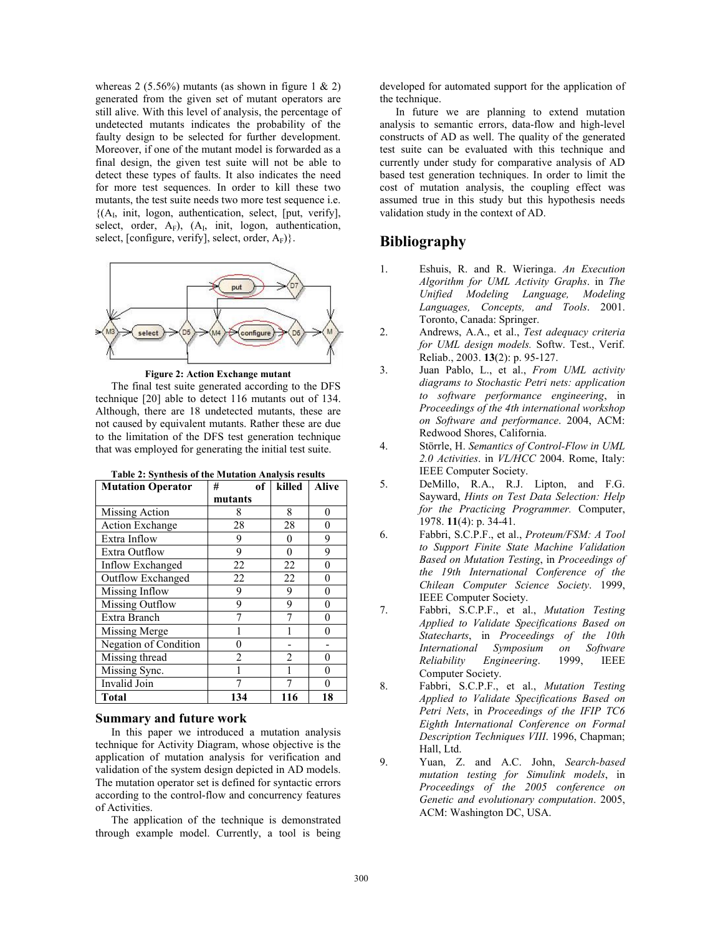whereas 2 (5.56%) mutants (as shown in figure 1  $\&$  2) generated from the given set of mutant operators are still alive. With this level of analysis, the percentage of undetected mutants indicates the probability of the faulty design to be selected for further development. Moreover, if one of the mutant model is forwarded as a final design, the given test suite will not be able to detect these types of faults. It also indicates the need for more test sequences. In order to kill these two mutants, the test suite needs two more test sequence i.e.  ${(A<sub>I</sub>, init, logon, authentication, select, [put, verify],}$ select, order,  $A_F$ ),  $(A_I, init, logon, authentication,$ select, [configure, verify], select, order,  $A_F$ }.



**Figure 2: Action Exchange mutant**

The final test suite generated according to the DFS technique [20] able to detect 116 mutants out of 134. Although, there are 18 undetected mutants, these are not caused by equivalent mutants. Rather these are due to the limitation of the DFS test generation technique that was employed for generating the initial test suite.

| <b>Mutation Operator</b> | #<br>of        | killed         | <b>Alive</b> |
|--------------------------|----------------|----------------|--------------|
|                          | mutants        |                |              |
| Missing Action           | 8              | 8              | 0            |
| <b>Action Exchange</b>   | 28             | 28             | 0            |
| Extra Inflow             | 9              | 0              | 9            |
| Extra Outflow            | 9              | 0              | 9            |
| Inflow Exchanged         | 22             | 22             | 0            |
| Outflow Exchanged        | 22             | 22             | 0            |
| Missing Inflow           | 9              | 9              | $\Omega$     |
| Missing Outflow          | 9              | 9              | 0            |
| Extra Branch             |                |                | 0            |
| Missing Merge            |                |                | 0            |
| Negation of Condition    | 0              |                |              |
| Missing thread           | $\mathfrak{D}$ | $\mathfrak{D}$ | 0            |
| Missing Sync.            |                |                | 0            |
| Invalid Join             |                |                | ∩            |
| <b>Total</b>             | 134            | 116            | 18           |

**Table 2: Synthesis of the Mutation Analysis results** 

## **Summary and future work**

In this paper we introduced a mutation analysis technique for Activity Diagram, whose objective is the application of mutation analysis for verification and validation of the system design depicted in AD models. The mutation operator set is defined for syntactic errors according to the control-flow and concurrency features of Activities.

The application of the technique is demonstrated through example model. Currently, a tool is being developed for automated support for the application of the technique.

In future we are planning to extend mutation analysis to semantic errors, data-flow and high-level constructs of AD as well. The quality of the generated test suite can be evaluated with this technique and currently under study for comparative analysis of AD based test generation techniques. In order to limit the cost of mutation analysis, the coupling effect was assumed true in this study but this hypothesis needs validation study in the context of AD.

## **Bibliography**

- 1. Eshuis, R. and R. Wieringa. *An Execution Algorithm for UML Activity Graphs*. in *The Unified Modeling Language, Modeling Languages, Concepts, and Tools*. 2001. Toronto, Canada: Springer.
- 2. Andrews, A.A., et al., *Test adequacy criteria for UML design models.* Softw. Test., Verif. Reliab., 2003. **13**(2): p. 95-127.
- 3. Juan Pablo, L., et al., *From UML activity diagrams to Stochastic Petri nets: application to software performance engineering*, in *Proceedings of the 4th international workshop on Software and performance*. 2004, ACM: Redwood Shores, California.
- 4. Störrle, H. *Semantics of Control-Flow in UML 2.0 Activities*. in *VL/HCC* 2004. Rome, Italy: IEEE Computer Society.
- 5. DeMillo, R.A., R.J. Lipton, and F.G. Sayward, *Hints on Test Data Selection: Help for the Practicing Programmer.* Computer, 1978. **11**(4): p. 34-41.
- 6. Fabbri, S.C.P.F., et al., *Proteum/FSM: A Tool to Support Finite State Machine Validation Based on Mutation Testing*, in *Proceedings of the 19th International Conference of the Chilean Computer Science Society*. 1999, IEEE Computer Society.
- 7. Fabbri, S.C.P.F., et al., *Mutation Testing Applied to Validate Specifications Based on Statecharts*, in *Proceedings of the 10th International Symposium on Software Reliability Engineering*. 1999, IEEE Computer Society.
- 8. Fabbri, S.C.P.F., et al., *Mutation Testing Applied to Validate Specifications Based on Petri Nets*, in *Proceedings of the IFIP TC6 Eighth International Conference on Formal Description Techniques VIII*. 1996, Chapman; Hall, Ltd.
- 9. Yuan, Z. and A.C. John, *Search-based mutation testing for Simulink models*, in *Proceedings of the 2005 conference on Genetic and evolutionary computation*. 2005, ACM: Washington DC, USA.